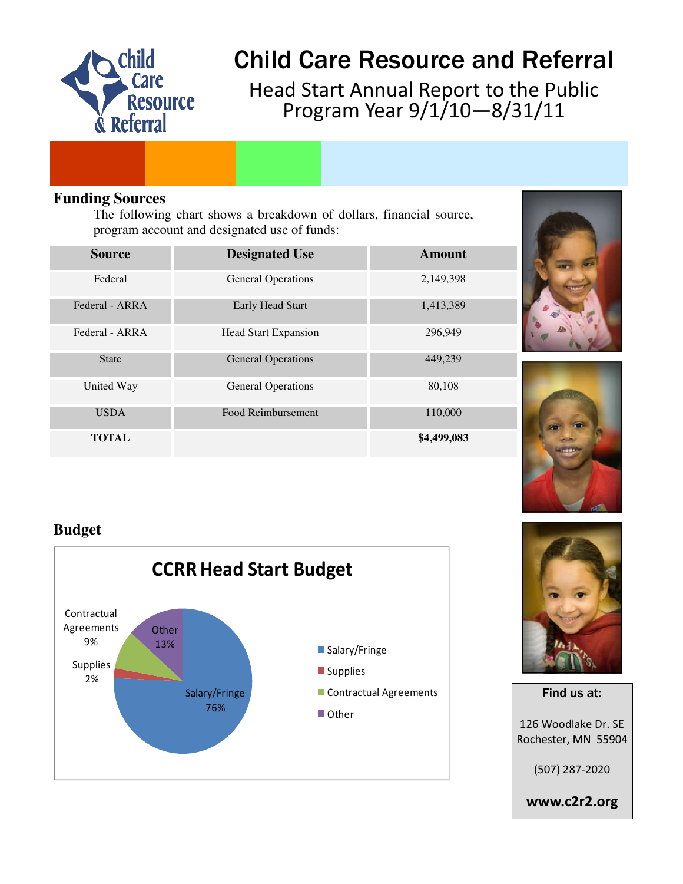

# **Child Care Resource and Referral**

Head Start Annual Report to the Public Program Year 9/1/10—8/31/11

#### **Funding Sources**

The following chart shows a breakdown of dollars, financial source, program account and designated use of funds:

| <b>Source</b>  | <b>Designated Use</b>       | Amount      |
|----------------|-----------------------------|-------------|
| Federal        | <b>General Operations</b>   | 2,149,398   |
| Federal - ARRA | <b>Early Head Start</b>     | 1,413,389   |
| Federal - ARRA | <b>Head Start Expansion</b> | 296,949     |
| <b>State</b>   | <b>General Operations</b>   | 449,239     |
| United Way     | <b>General Operations</b>   | 80,108      |
| <b>USDA</b>    | Food Reimbursement          | 110,000     |
| <b>TOTAL</b>   |                             | \$4,499,083 |





### **Budget**





# Find us at: 126 Woodlake Dr. SE Rochester, MN 55904

(507) 287-2020

www.c2r2.org